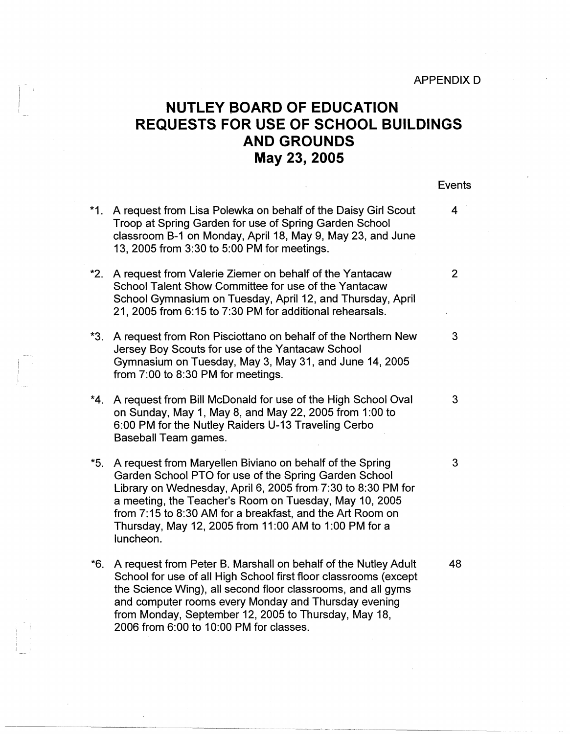## APPENDIX D

## **NUTLEY BOARD OF EDUCATION REQUESTS FOR USE OF SCHOOL BUILDINGS AND GROUNDS May 23, 2005**

Events

| $*1$ . | A request from Lisa Polewka on behalf of the Daisy Girl Scout<br>Troop at Spring Garden for use of Spring Garden School<br>classroom B-1 on Monday, April 18, May 9, May 23, and June<br>13, 2005 from 3:30 to 5:00 PM for meetings.                                                                                                                                           | 4            |
|--------|--------------------------------------------------------------------------------------------------------------------------------------------------------------------------------------------------------------------------------------------------------------------------------------------------------------------------------------------------------------------------------|--------------|
| $^*2.$ | A request from Valerie Ziemer on behalf of the Yantacaw<br>School Talent Show Committee for use of the Yantacaw<br>School Gymnasium on Tuesday, April 12, and Thursday, April<br>21, 2005 from 6:15 to 7:30 PM for additional rehearsals.                                                                                                                                      | $\mathbf{2}$ |
| *3.    | A request from Ron Pisciottano on behalf of the Northern New<br>Jersey Boy Scouts for use of the Yantacaw School<br>Gymnasium on Tuesday, May 3, May 31, and June 14, 2005<br>from 7:00 to 8:30 PM for meetings.                                                                                                                                                               | 3            |
| *4.    | A request from Bill McDonald for use of the High School Oval<br>on Sunday, May 1, May 8, and May 22, 2005 from 1:00 to<br>6:00 PM for the Nutley Raiders U-13 Traveling Cerbo<br>Baseball Team games.                                                                                                                                                                          | 3            |
| $*5.$  | A request from Maryellen Biviano on behalf of the Spring<br>Garden School PTO for use of the Spring Garden School<br>Library on Wednesday, April 6, 2005 from 7:30 to 8:30 PM for<br>a meeting, the Teacher's Room on Tuesday, May 10, 2005<br>from 7:15 to 8:30 AM for a breakfast, and the Art Room on<br>Thursday, May 12, 2005 from 11:00 AM to 1:00 PM for a<br>luncheon. | 3            |
| $*6.$  | A request from Peter B. Marshall on behalf of the Nutley Adult<br>School for use of all High School first floor classrooms (except<br>the Science Wing), all second floor classrooms, and all gyms<br>and computer rooms every Monday and Thursday evening<br>from Monday, September 12, 2005 to Thursday, May 18,                                                             | 48           |

2006 from 6:00 to 10:00 PM for classes.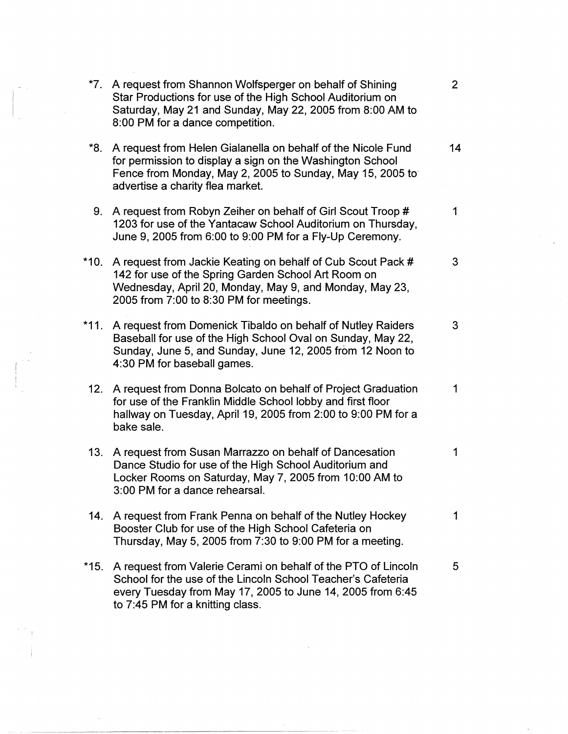|        | *7. A request from Shannon Wolfsperger on behalf of Shining<br>Star Productions for use of the High School Auditorium on<br>Saturday, May 21 and Sunday, May 22, 2005 from 8:00 AM to<br>8:00 PM for a dance competition.       | $\overline{2}$ |
|--------|---------------------------------------------------------------------------------------------------------------------------------------------------------------------------------------------------------------------------------|----------------|
| *8.    | A request from Helen Gialanella on behalf of the Nicole Fund<br>for permission to display a sign on the Washington School<br>Fence from Monday, May 2, 2005 to Sunday, May 15, 2005 to<br>advertise a charity flea market.      | 14             |
| 9.     | A request from Robyn Zeiher on behalf of Girl Scout Troop #<br>1203 for use of the Yantacaw School Auditorium on Thursday,<br>June 9, 2005 from 6:00 to 9:00 PM for a Fly-Up Ceremony.                                          | 1              |
| *10.   | A request from Jackie Keating on behalf of Cub Scout Pack #<br>142 for use of the Spring Garden School Art Room on<br>Wednesday, April 20, Monday, May 9, and Monday, May 23,<br>2005 from 7:00 to 8:30 PM for meetings.        | 3              |
| $*11.$ | A request from Domenick Tibaldo on behalf of Nutley Raiders<br>Baseball for use of the High School Oval on Sunday, May 22,<br>Sunday, June 5, and Sunday, June 12, 2005 from 12 Noon to<br>4:30 PM for baseball games.          | 3              |
| 12.    | A request from Donna Bolcato on behalf of Project Graduation<br>for use of the Franklin Middle School lobby and first floor<br>hallway on Tuesday, April 19, 2005 from 2:00 to 9:00 PM for a<br>bake sale.                      | 1              |
| 13.    | A request from Susan Marrazzo on behalf of Dancesation<br>Dance Studio for use of the High School Auditorium and<br>Locker Rooms on Saturday, May 7, 2005 from 10:00 AM to<br>3:00 PM for a dance rehearsal.                    | 1              |
| 14.    | A request from Frank Penna on behalf of the Nutley Hockey<br>Booster Club for use of the High School Cafeteria on<br>Thursday, May 5, 2005 from 7:30 to 9:00 PM for a meeting.                                                  | 1              |
| *15.   | A request from Valerie Cerami on behalf of the PTO of Lincoln<br>School for the use of the Lincoln School Teacher's Cafeteria<br>every Tuesday from May 17, 2005 to June 14, 2005 from 6:45<br>to 7:45 PM for a knitting class. | 5              |